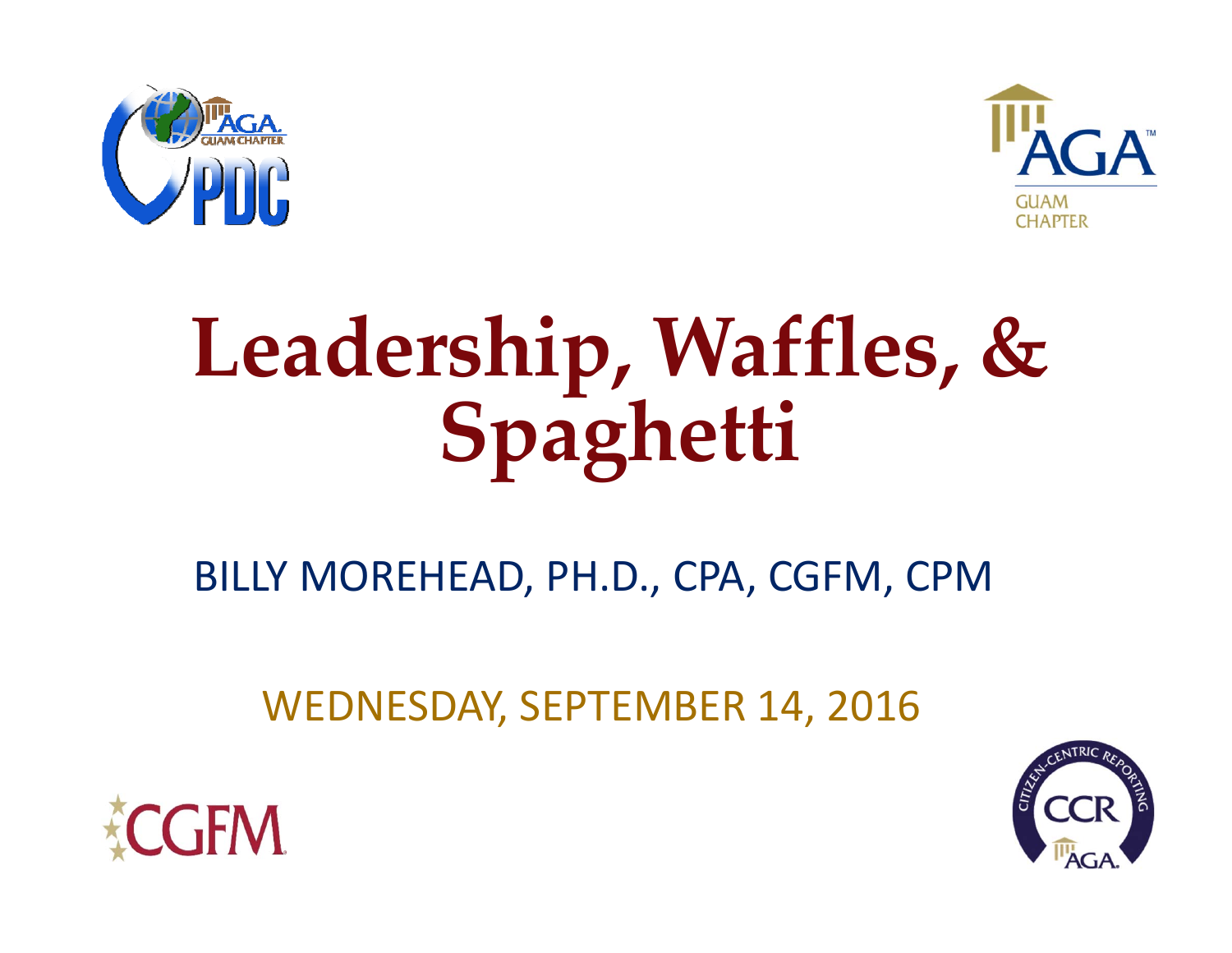



# **Leadership, Waffles, & Spaghetti**

BILLY MOREHEAD, PH.D., CPA, CGFM, CPM

WEDNESDAY, SEPTEMBER 14, 2016



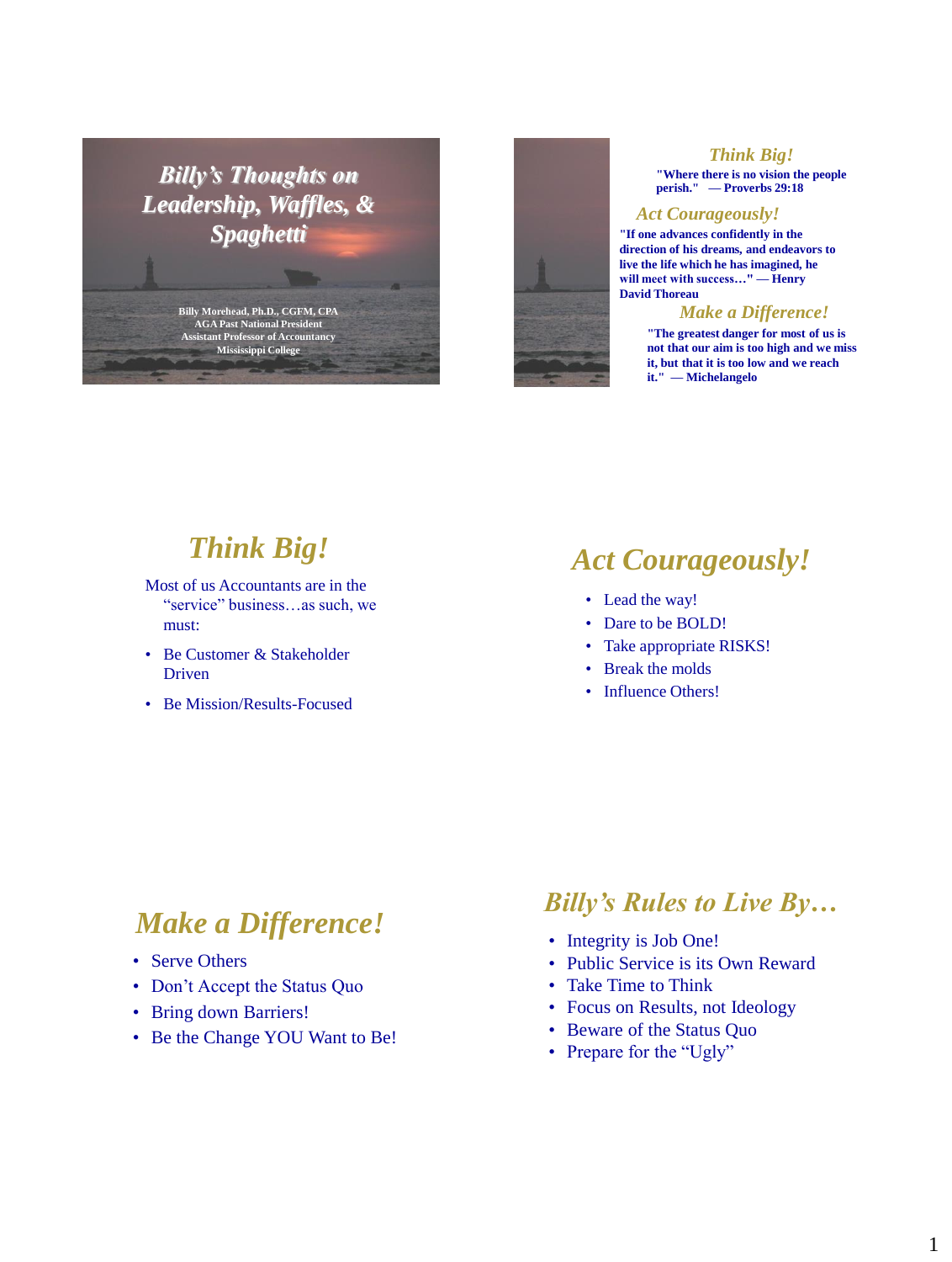*Billy's Thoughts on Leadership, Waffles, & Spaghetti*

> **Billy Morehead, Ph.D., CGFM, CPA AGA Past National President Assistant Professor of Accountancy Mississippi College**



#### *Think Big!*

**"Where there is no vision the people perish." — Proverbs 29:18**

#### *Act Courageously!*

**"If one advances confidently in the direction of his dreams, and endeavors to live the life which he has imagined, he will meet with success…" — Henry David Thoreau**

#### *Make a Difference!*

**"The greatest danger for most of us is not that our aim is too high and we miss it, but that it is too low and we reach it." — Michelangelo**

# *Think Big!*

Most of us Accountants are in the "service" business…as such, we must:

- Be Customer & Stakeholder Driven
- Be Mission/Results-Focused

# *Act Courageously!*

- Lead the way!
- Dare to be BOLD!
- Take appropriate RISKS!
- Break the molds
- Influence Others!

## *Make a Difference!*

- Serve Others
- Don't Accept the Status Quo
- Bring down Barriers!
- Be the Change YOU Want to Be!

#### *Billy's Rules to Live By…*

- Integrity is Job One!
- Public Service is its Own Reward
- Take Time to Think
- Focus on Results, not Ideology
- Beware of the Status Quo
- Prepare for the "Ugly"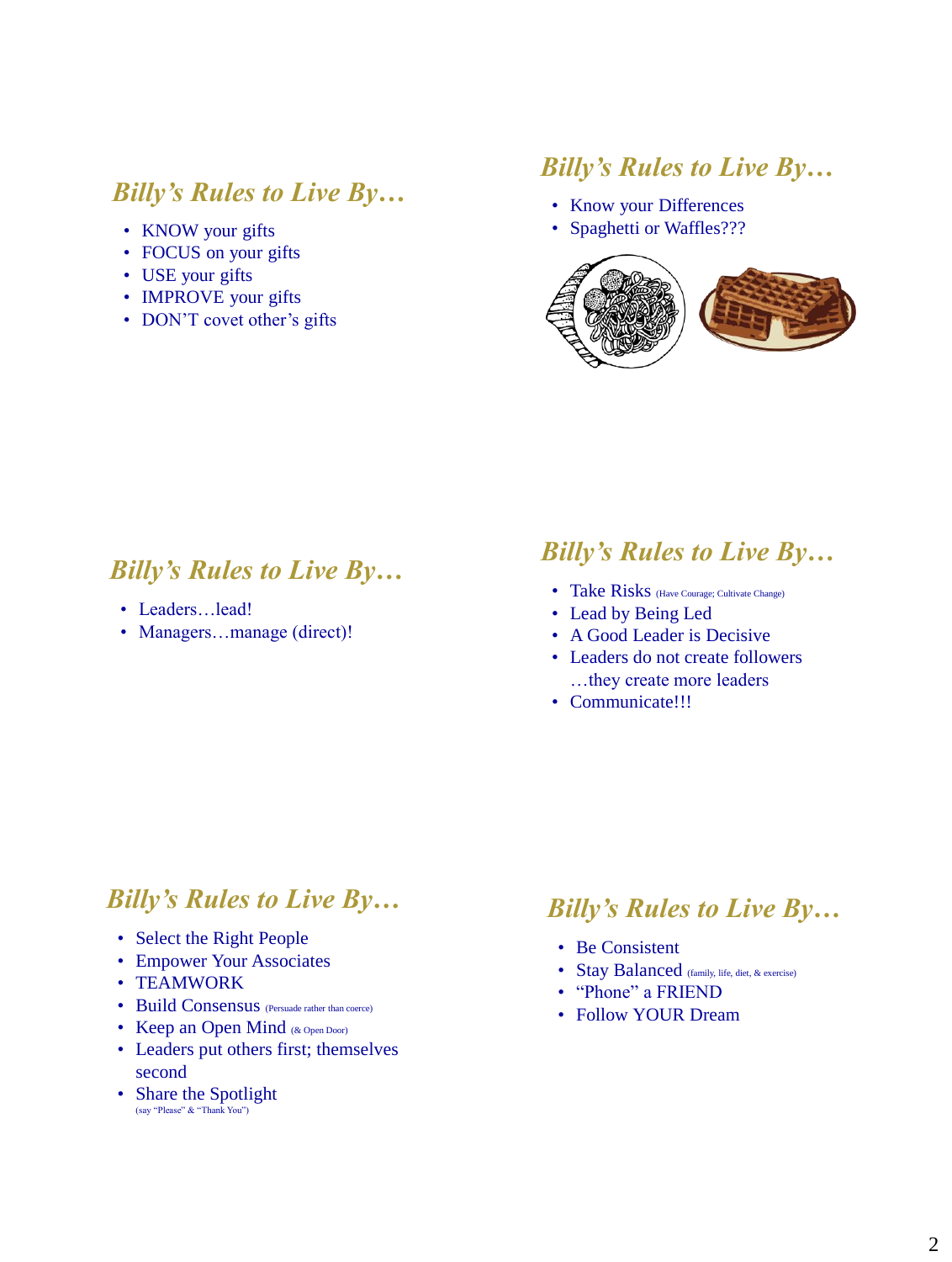#### *Billy's Rules to Live By…*

- KNOW your gifts
- FOCUS on your gifts
- USE your gifts
- IMPROVE your gifts
- DON'T covet other's gifts

## *Billy's Rules to Live By…*

- Know your Differences
- Spaghetti or Waffles???



### *Billy's Rules to Live By…*

- Leaders…lead!
- Managers...manage (direct)!

## *Billy's Rules to Live By…*

- Take Risks (Have Courage; Cultivate Change)
- Lead by Being Led
- A Good Leader is Decisive
- Leaders do not create followers …they create more leaders
- Communicate!!!

#### *Billy's Rules to Live By…*

- Select the Right People
- Empower Your Associates
- TEAMWORK
- Build Consensus (Persuade rather than coerce)
- Keep an Open Mind (& Open Door)
- Leaders put others first; themselves second
- Share the Spotlight (say "Please" & "Thank You")

#### *Billy's Rules to Live By…*

- Be Consistent
- Stay Balanced (family, life, diet, & exercise)
- "Phone" a FRIEND
- Follow YOUR Dream